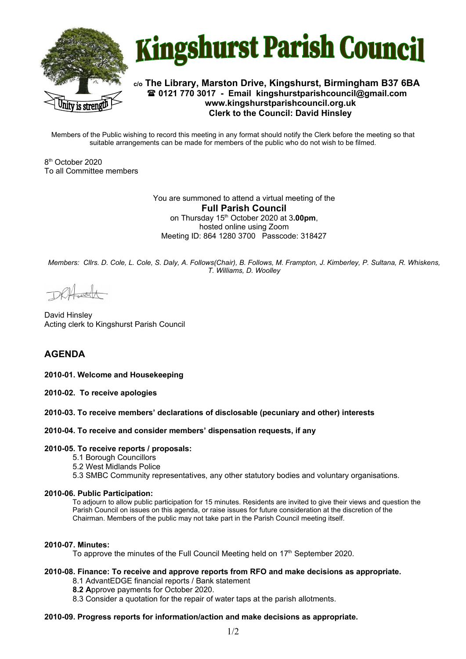



# **c/o The Library, Marston Drive, Kingshurst, Birmingham B37 6BA 0121 770 3017 - Email [kingshurstparishcouncil@gmail.com](mailto:kingshurstparishcouncil@gmail.com) www.kingshurstparishcouncil.org.uk Clerk to the Council: David Hinsley**

Members of the Public wishing to record this meeting in any format should notify the Clerk before the meeting so that suitable arrangements can be made for members of the public who do not wish to be filmed.

8 th October 2020 To all Committee members

> You are summoned to attend a virtual meeting of the **Full Parish Council**  on Thursday 15th October 2020 at 3**.00pm**, hosted online using Zoom Meeting ID: 864 1280 3700 Passcode: 318427

*Members: Cllrs. D. Cole, L. Cole, S. Daly, A. Follows(Chair), B. Follows, M. Frampton, J. Kimberley, P. Sultana, R. Whiskens, T. Williams, D. Woolley*

David Hinsley Acting clerk to Kingshurst Parish Council

# **AGENDA**

**2010-01. Welcome and Housekeeping**

**2010-02. To receive apologies**

**2010-03. To receive members' declarations of disclosable (pecuniary and other) interests** 

### **2010-04. To receive and consider members' dispensation requests, if any**

### **2010-05. To receive reports / proposals:**

- 5.1 Borough Councillors
- 5.2 West Midlands Police
- 5.3 SMBC Community representatives, any other statutory bodies and voluntary organisations.

#### **2010-06. Public Participation:**

To adjourn to allow public participation for 15 minutes. Residents are invited to give their views and question the Parish Council on issues on this agenda, or raise issues for future consideration at the discretion of the Chairman. Members of the public may not take part in the Parish Council meeting itself.

### **2010-07. Minutes:**

To approve the minutes of the Full Council Meeting held on 17<sup>th</sup> September 2020.

### **2010-08. Finance: To receive and approve reports from RFO and make decisions as appropriate.**

- 8.1 AdvantEDGE financial reports / Bank statement
- **8.2 A**pprove payments for October 2020.
- 8.3 Consider a quotation for the repair of water taps at the parish allotments.

### **2010-09. Progress reports for information/action and make decisions as appropriate.**